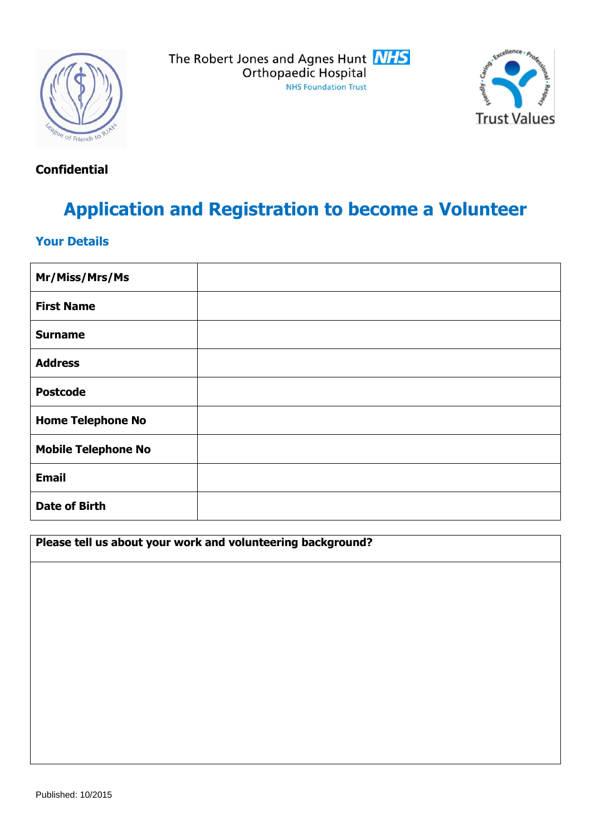



## **Confidential**

# **Application and Registration to become a Volunteer**

## **Your Details**

| Mr/Miss/Mrs/Ms             |  |
|----------------------------|--|
| <b>First Name</b>          |  |
| <b>Surname</b>             |  |
| <b>Address</b>             |  |
| <b>Postcode</b>            |  |
| <b>Home Telephone No</b>   |  |
| <b>Mobile Telephone No</b> |  |
| <b>Email</b>               |  |
| <b>Date of Birth</b>       |  |

**Please tell us about your work and volunteering background?**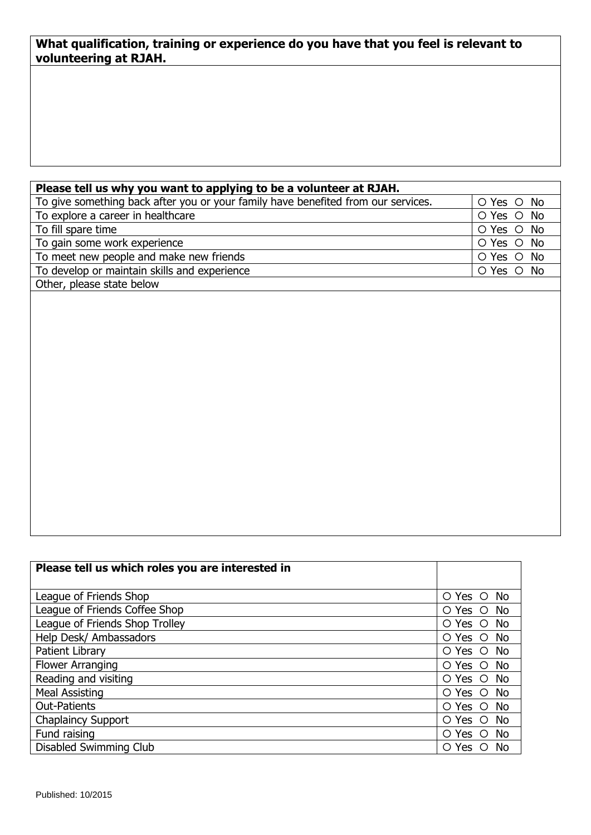#### **What qualification, training or experience do you have that you feel is relevant to volunteering at RJAH.**

| Please tell us why you want to applying to be a volunteer at RJAH.                |            |  |  |  |  |
|-----------------------------------------------------------------------------------|------------|--|--|--|--|
| To give something back after you or your family have benefited from our services. | O Yes O No |  |  |  |  |
| To explore a career in healthcare                                                 | O Yes O No |  |  |  |  |
| To fill spare time                                                                | O Yes O No |  |  |  |  |
| To gain some work experience                                                      | O Yes O No |  |  |  |  |
| To meet new people and make new friends                                           | O Yes O No |  |  |  |  |
| To develop or maintain skills and experience                                      | O Yes O No |  |  |  |  |
| Other, please state below                                                         |            |  |  |  |  |

| Please tell us which roles you are interested in |                               |
|--------------------------------------------------|-------------------------------|
| League of Friends Shop                           | O Yes O<br>. No               |
| League of Friends Coffee Shop                    | <b>No</b><br>O Yes<br>$\circ$ |
| League of Friends Shop Trolley                   | - No<br>O Yes O               |
| Help Desk/ Ambassadors                           | O Yes O<br>No                 |
| Patient Library                                  | O Yes O<br><b>No</b>          |
| Flower Arranging                                 | No<br>$O$ Yes $O$             |
| Reading and visiting                             | No<br>O Yes O                 |
| <b>Meal Assisting</b>                            | O Yes<br>No.<br>$\circ$       |
| <b>Out-Patients</b>                              | - No<br>O Yes O               |
| <b>Chaplaincy Support</b>                        | <b>No</b><br>O Yes<br>$\circ$ |
| Fund raising                                     | <b>No</b><br>O Yes<br>$\circ$ |
| Disabled Swimming Club                           | No<br>O Yes<br>O              |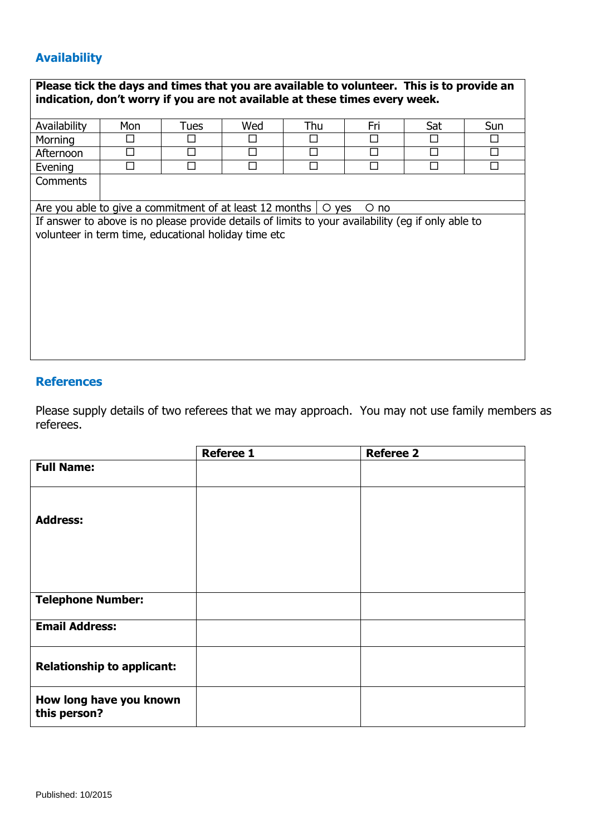## **Availability**

| Please tick the days and times that you are available to volunteer. This is to provide an<br>indication, don't worry if you are not available at these times every week. |     |        |     |     |     |     |        |
|--------------------------------------------------------------------------------------------------------------------------------------------------------------------------|-----|--------|-----|-----|-----|-----|--------|
| Availability                                                                                                                                                             | Mon | Tues   | Wed | Thu | Fri | Sat | Sun    |
| Morning                                                                                                                                                                  |     | $\Box$ | П   | □   | П   | П   | П      |
| Afternoon                                                                                                                                                                |     | П      | П   | □   |     |     | □      |
| Evening                                                                                                                                                                  |     | П      | П   | П   | П   | П   | $\Box$ |
| Comments                                                                                                                                                                 |     |        |     |     |     |     |        |
| Are you able to give a commitment of at least 12 months<br>$\circ$ yes<br>O no                                                                                           |     |        |     |     |     |     |        |
| If answer to above is no please provide details of limits to your availability (eq if only able to                                                                       |     |        |     |     |     |     |        |
| volunteer in term time, educational holiday time etc                                                                                                                     |     |        |     |     |     |     |        |
|                                                                                                                                                                          |     |        |     |     |     |     |        |
|                                                                                                                                                                          |     |        |     |     |     |     |        |
|                                                                                                                                                                          |     |        |     |     |     |     |        |
|                                                                                                                                                                          |     |        |     |     |     |     |        |
|                                                                                                                                                                          |     |        |     |     |     |     |        |
|                                                                                                                                                                          |     |        |     |     |     |     |        |
|                                                                                                                                                                          |     |        |     |     |     |     |        |
|                                                                                                                                                                          |     |        |     |     |     |     |        |
|                                                                                                                                                                          |     |        |     |     |     |     |        |

### **References**

Please supply details of two referees that we may approach. You may not use family members as referees.

|                                         | <b>Referee 1</b> | <b>Referee 2</b> |
|-----------------------------------------|------------------|------------------|
| <b>Full Name:</b>                       |                  |                  |
|                                         |                  |                  |
| <b>Address:</b>                         |                  |                  |
|                                         |                  |                  |
|                                         |                  |                  |
| <b>Telephone Number:</b>                |                  |                  |
| <b>Email Address:</b>                   |                  |                  |
| <b>Relationship to applicant:</b>       |                  |                  |
| How long have you known<br>this person? |                  |                  |